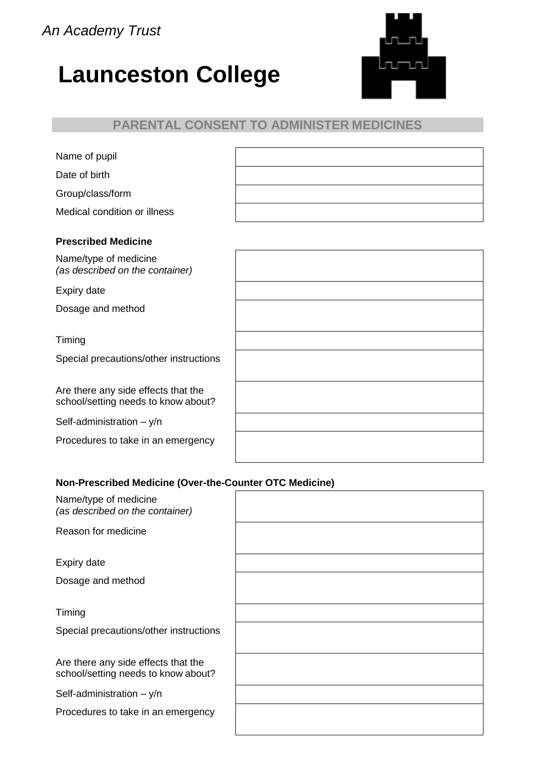*An Academy Trust*

# **Launceston College**



# **PARENTAL CONSENT TO ADMINISTER MEDICINES**

| Name of pupil                |  |
|------------------------------|--|
| Date of birth                |  |
| Group/class/form             |  |
| Medical condition or illness |  |
|                              |  |

| <b>Prescribed Medicine</b>      |
|---------------------------------|
| Name/type of medicine           |
| (as described on the container) |

Expiry date

Dosage and method

Timing

Special precautions/other instructions

Are there any side effects that the school/setting needs to know about?

Self-administration – y/n

Procedures to take in an emergency

#### **Non-Prescribed Medicine (Over-the-Counter OTC Medicine)**

| Name/type of medicine<br>(as described on the container)                   |  |
|----------------------------------------------------------------------------|--|
| Reason for medicine                                                        |  |
| Expiry date                                                                |  |
| Dosage and method                                                          |  |
| Timing                                                                     |  |
| Special precautions/other instructions                                     |  |
| Are there any side effects that the<br>school/setting needs to know about? |  |
| Self-administration $- y/n$                                                |  |
| Procedures to take in an emergency                                         |  |